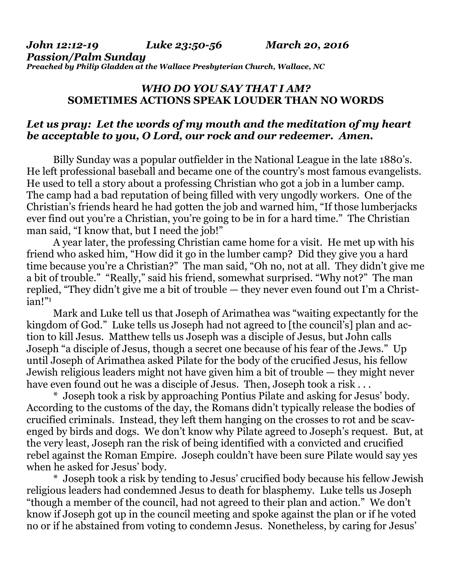*John 12:12-19 Luke 23:50-56 March 20, 2016 Passion/Palm Sunday Preached by Philip Gladden at the Wallace Presbyterian Church, Wallace, NC*

## *WHO DO YOU SAY THAT I AM?*  **SOMETIMES ACTIONS SPEAK LOUDER THAN NO WORDS**

## *Let us pray: Let the words of my mouth and the meditation of my heart be acceptable to you, O Lord, our rock and our redeemer. Amen.*

Billy Sunday was a popular outfielder in the National League in the late 1880's. He left professional baseball and became one of the country's most famous evangelists. He used to tell a story about a professing Christian who got a job in a lumber camp. The camp had a bad reputation of being filled with very ungodly workers. One of the Christian's friends heard he had gotten the job and warned him, "If those lumberjacks ever find out you're a Christian, you're going to be in for a hard time." The Christian man said, "I know that, but I need the job!"

 A year later, the professing Christian came home for a visit. He met up with his friend who asked him, "How did it go in the lumber camp? Did they give you a hard time because you're a Christian?" The man said, "Oh no, not at all. They didn't give me a bit of trouble." "Really," said his friend, somewhat surprised. "Why not?" The man replied, "They didn't give me a bit of trouble — they never even found out I'm a Christian!"1

 Mark and Luke tell us that Joseph of Arimathea was "waiting expectantly for the kingdom of God." Luke tells us Joseph had not agreed to [the council's] plan and action to kill Jesus. Matthew tells us Joseph was a disciple of Jesus, but John calls Joseph "a disciple of Jesus, though a secret one because of his fear of the Jews." Up until Joseph of Arimathea asked Pilate for the body of the crucified Jesus, his fellow Jewish religious leaders might not have given him a bit of trouble — they might never have even found out he was a disciple of Jesus. Then, Joseph took a risk...

 \* Joseph took a risk by approaching Pontius Pilate and asking for Jesus' body. According to the customs of the day, the Romans didn't typically release the bodies of crucified criminals. Instead, they left them hanging on the crosses to rot and be scavenged by birds and dogs. We don't know why Pilate agreed to Joseph's request. But, at the very least, Joseph ran the risk of being identified with a convicted and crucified rebel against the Roman Empire. Joseph couldn't have been sure Pilate would say yes when he asked for Jesus' body.

 \* Joseph took a risk by tending to Jesus' crucified body because his fellow Jewish religious leaders had condemned Jesus to death for blasphemy. Luke tells us Joseph "though a member of the council, had not agreed to their plan and action." We don't know if Joseph got up in the council meeting and spoke against the plan or if he voted no or if he abstained from voting to condemn Jesus. Nonetheless, by caring for Jesus'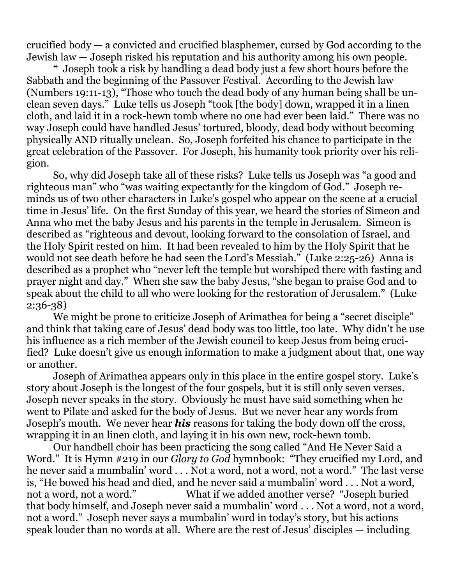crucified body — a convicted and crucified blasphemer, cursed by God according to the Jewish law — Joseph risked his reputation and his authority among his own people.

 \* Joseph took a risk by handling a dead body just a few short hours before the Sabbath and the beginning of the Passover Festival. According to the Jewish law (Numbers 19:11-13), "Those who touch the dead body of any human being shall be unclean seven days." Luke tells us Joseph "took [the body] down, wrapped it in a linen cloth, and laid it in a rock-hewn tomb where no one had ever been laid." There was no way Joseph could have handled Jesus' tortured, bloody, dead body without becoming physically AND ritually unclean. So, Joseph forfeited his chance to participate in the great celebration of the Passover. For Joseph, his humanity took priority over his religion.

 So, why did Joseph take all of these risks? Luke tells us Joseph was "a good and righteous man" who "was waiting expectantly for the kingdom of God." Joseph reminds us of two other characters in Luke's gospel who appear on the scene at a crucial time in Jesus' life. On the first Sunday of this year, we heard the stories of Simeon and Anna who met the baby Jesus and his parents in the temple in Jerusalem. Simeon is described as "righteous and devout, looking forward to the consolation of Israel, and the Holy Spirit rested on him. It had been revealed to him by the Holy Spirit that he would not see death before he had seen the Lord's Messiah." (Luke 2:25-26) Anna is described as a prophet who "never left the temple but worshiped there with fasting and prayer night and day." When she saw the baby Jesus, "she began to praise God and to speak about the child to all who were looking for the restoration of Jerusalem." (Luke 2:36-38)

We might be prone to criticize Joseph of Arimathea for being a "secret disciple" and think that taking care of Jesus' dead body was too little, too late. Why didn't he use his influence as a rich member of the Jewish council to keep Jesus from being crucified? Luke doesn't give us enough information to make a judgment about that, one way or another.

 Joseph of Arimathea appears only in this place in the entire gospel story. Luke's story about Joseph is the longest of the four gospels, but it is still only seven verses. Joseph never speaks in the story. Obviously he must have said something when he went to Pilate and asked for the body of Jesus. But we never hear any words from Joseph's mouth. We never hear *his* reasons for taking the body down off the cross, wrapping it in an linen cloth, and laying it in his own new, rock-hewn tomb.

 Our handbell choir has been practicing the song called "And He Never Said a Word." It is Hymn #219 in our *Glory to God* hymnbook: "They crucified my Lord, and he never said a mumbalin' word . . . Not a word, not a word, not a word." The last verse is, "He bowed his head and died, and he never said a mumbalin' word . . . Not a word, not a word, not a word." What if we added another verse? "Joseph buried that body himself, and Joseph never said a mumbalin' word . . . Not a word, not a word, not a word." Joseph never says a mumbalin' word in today's story, but his actions speak louder than no words at all. Where are the rest of Jesus' disciples — including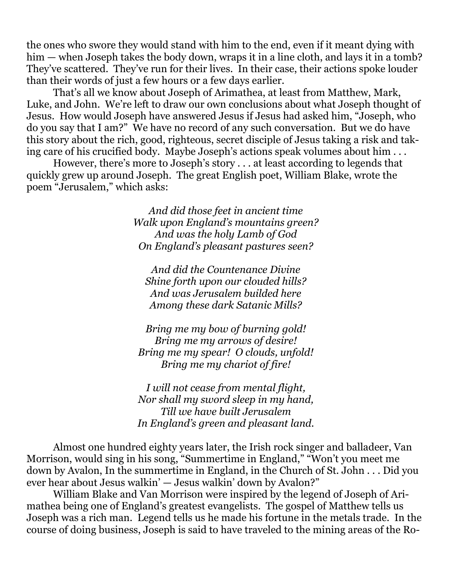the ones who swore they would stand with him to the end, even if it meant dying with him — when Joseph takes the body down, wraps it in a line cloth, and lays it in a tomb? They've scattered. They've run for their lives. In their case, their actions spoke louder than their words of just a few hours or a few days earlier.

 That's all we know about Joseph of Arimathea, at least from Matthew, Mark, Luke, and John. We're left to draw our own conclusions about what Joseph thought of Jesus. How would Joseph have answered Jesus if Jesus had asked him, "Joseph, who do you say that I am?" We have no record of any such conversation. But we do have this story about the rich, good, righteous, secret disciple of Jesus taking a risk and taking care of his crucified body. Maybe Joseph's actions speak volumes about him . . .

 However, there's more to Joseph's story . . . at least according to legends that quickly grew up around Joseph. The great English poet, William Blake, wrote the poem "Jerusalem," which asks:

> *And did those feet in ancient time Walk upon England's mountains green? And was the holy Lamb of God On England's pleasant pastures seen?*

*And did the Countenance Divine Shine forth upon our clouded hills? And was Jerusalem builded here Among these dark Satanic Mills?*

*Bring me my bow of burning gold! Bring me my arrows of desire! Bring me my spear! O clouds, unfold! Bring me my chariot of fire!*

*I will not cease from mental flight, Nor shall my sword sleep in my hand, Till we have built Jerusalem In England's green and pleasant land.*

Almost one hundred eighty years later, the Irish rock singer and balladeer, Van Morrison, would sing in his song, "Summertime in England," "Won't you meet me down by Avalon, In the summertime in England, in the Church of St. John . . . Did you ever hear about Jesus walkin' — Jesus walkin' down by Avalon?"

 William Blake and Van Morrison were inspired by the legend of Joseph of Arimathea being one of England's greatest evangelists. The gospel of Matthew tells us Joseph was a rich man. Legend tells us he made his fortune in the metals trade. In the course of doing business, Joseph is said to have traveled to the mining areas of the Ro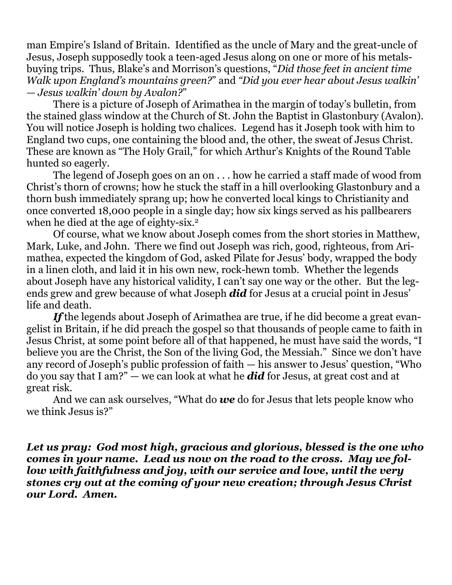man Empire's Island of Britain. Identified as the uncle of Mary and the great-uncle of Jesus, Joseph supposedly took a teen-aged Jesus along on one or more of his metalsbuying trips. Thus, Blake's and Morrison's questions, "*Did those feet in ancient time Walk upon England's mountains green?*" and *"Did you ever hear about Jesus walkin' — Jesus walkin' down by Avalon?*"

There is a picture of Joseph of Arimathea in the margin of today's bulletin, from the stained glass window at the Church of St. John the Baptist in Glastonbury (Avalon). You will notice Joseph is holding two chalices. Legend has it Joseph took with him to England two cups, one containing the blood and, the other, the sweat of Jesus Christ. These are known as "The Holy Grail," for which Arthur's Knights of the Round Table hunted so eagerly.

 The legend of Joseph goes on an on . . . how he carried a staff made of wood from Christ's thorn of crowns; how he stuck the staff in a hill overlooking Glastonbury and a thorn bush immediately sprang up; how he converted local kings to Christianity and once converted 18,000 people in a single day; how six kings served as his pallbearers when he died at the age of eighty-six.<sup>2</sup>

 Of course, what we know about Joseph comes from the short stories in Matthew, Mark, Luke, and John. There we find out Joseph was rich, good, righteous, from Arimathea, expected the kingdom of God, asked Pilate for Jesus' body, wrapped the body in a linen cloth, and laid it in his own new, rock-hewn tomb. Whether the legends about Joseph have any historical validity, I can't say one way or the other. But the legends grew and grew because of what Joseph *did* for Jesus at a crucial point in Jesus' life and death.

*If* the legends about Joseph of Arimathea are true, if he did become a great evangelist in Britain, if he did preach the gospel so that thousands of people came to faith in Jesus Christ, at some point before all of that happened, he must have said the words, "I believe you are the Christ, the Son of the living God, the Messiah." Since we don't have any record of Joseph's public profession of faith — his answer to Jesus' question, "Who do you say that I am?" — we can look at what he *did* for Jesus, at great cost and at great risk.

 And we can ask ourselves, "What do *we* do for Jesus that lets people know who we think Jesus is?"

*Let us pray: God most high, gracious and glorious, blessed is the one who comes in your name. Lead us now on the road to the cross. May we follow with faithfulness and joy, with our service and love, until the very stones cry out at the coming of your new creation; through Jesus Christ our Lord. Amen.*